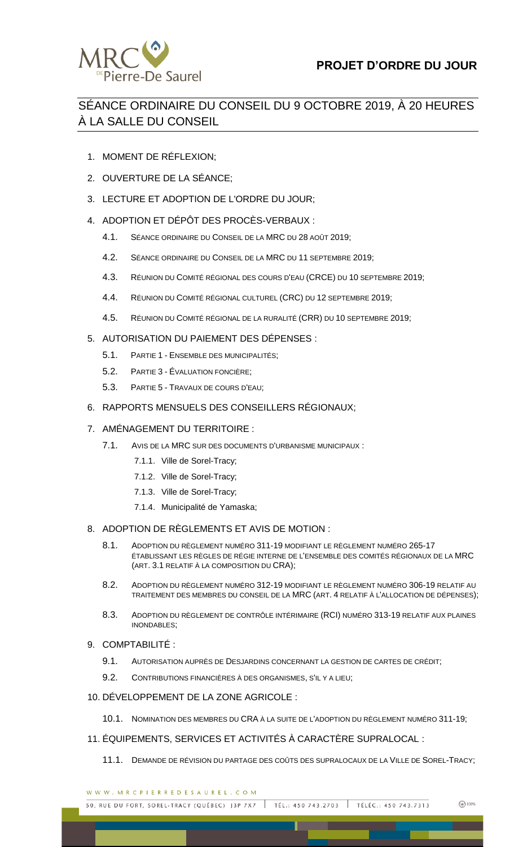

# SÉANCE ORDINAIRE DU CONSEIL DU 9 OCTOBRE 2019, À 20 HEURES À LA SALLE DU CONSEIL

- 1. MOMENT DE RÉFLEXION;
- 2. OUVERTURE DE LA SÉANCE;
- 3. LECTURE ET ADOPTION DE L'ORDRE DU JOUR;
- 4. ADOPTION ET DÉPÔT DES PROCÈS-VERBAUX :
	- 4.1. SÉANCE ORDINAIRE DU CONSEIL DE LA MRC DU 28 AOÛT 2019;
	- 4.2. SÉANCE ORDINAIRE DU CONSEIL DE LA MRC DU 11 SEPTEMBRE 2019;
	- 4.3. RÉUNION DU COMITÉ RÉGIONAL DES COURS D'EAU (CRCE) DU 10 SEPTEMBRE 2019;
	- 4.4. RÉUNION DU COMITÉ RÉGIONAL CULTUREL (CRC) DU 12 SEPTEMBRE 2019;
	- 4.5. RÉUNION DU COMITÉ RÉGIONAL DE LA RURALITÉ (CRR) DU 10 SEPTEMBRE 2019;
- 5. AUTORISATION DU PAIEMENT DES DÉPENSES :
	- 5.1. PARTIE 1 ENSEMBLE DES MUNICIPALITÉS;
	- 5.2. PARTIE 3 ÉVALUATION FONCIÈRE;
	- 5.3. PARTIE 5 TRAVAUX DE COURS D'EAU;
- 6. RAPPORTS MENSUELS DES CONSEILLERS RÉGIONAUX;

## 7. AMÉNAGEMENT DU TERRITOIRE :

- 7.1. AVIS DE LA MRC SUR DES DOCUMENTS D'URBANISME MUNICIPAUX :
	- 7.1.1. Ville de Sorel-Tracy;
	- 7.1.2. Ville de Sorel-Tracy;
	- 7.1.3. Ville de Sorel-Tracy;
	- 7.1.4. Municipalité de Yamaska;

## 8. ADOPTION DE RÈGLEMENTS ET AVIS DE MOTION :

- 8.1. ADOPTION DU RÈGLEMENT NUMÉRO 311-19 MODIFIANT LE RÈGLEMENT NUMÉRO 265-17 ÉTABLISSANT LES RÈGLES DE RÉGIE INTERNE DE L'ENSEMBLE DES COMITÉS RÉGIONAUX DE LA MRC (ART. 3.1 RELATIF À LA COMPOSITION DU CRA);
- 8.2. ADOPTION DU RÈGLEMENT NUMÉRO 312-19 MODIFIANT LE RÈGLEMENT NUMÉRO 306-19 RELATIF AU TRAITEMENT DES MEMBRES DU CONSEIL DE LA MRC (ART. 4 RELATIF À L'ALLOCATION DE DÉPENSES);
- 8.3. ADOPTION DU RÈGLEMENT DE CONTRÔLE INTÉRIMAIRE (RCI) NUMÉRO 313-19 RELATIF AUX PLAINES INONDABLES;
- 9. COMPTABILITÉ :
	- 9.1. AUTORISATION AUPRÈS DE DESJARDINS CONCERNANT LA GESTION DE CARTES DE CRÉDIT;
	- 9.2. CONTRIBUTIONS FINANCIÈRES À DES ORGANISMES, S'IL Y A LIEU;

## 10. DÉVELOPPEMENT DE LA ZONE AGRICOLE :

- 10.1. NOMINATION DES MEMBRES DU CRA À LA SUITE DE L'ADOPTION DU RÈGLEMENT NUMÉRO 311-19;
- 11. ÉQUIPEMENTS, SERVICES ET ACTIVITÉS À CARACTÈRE SUPRALOCAL :
	- 11.1. DEMANDE DE RÉVISION DU PARTAGE DES COÛTS DES SUPRALOCAUX DE LA VILLE DE SOREL-TRACY;

WWW.MRCPIERREDESAUREL.COM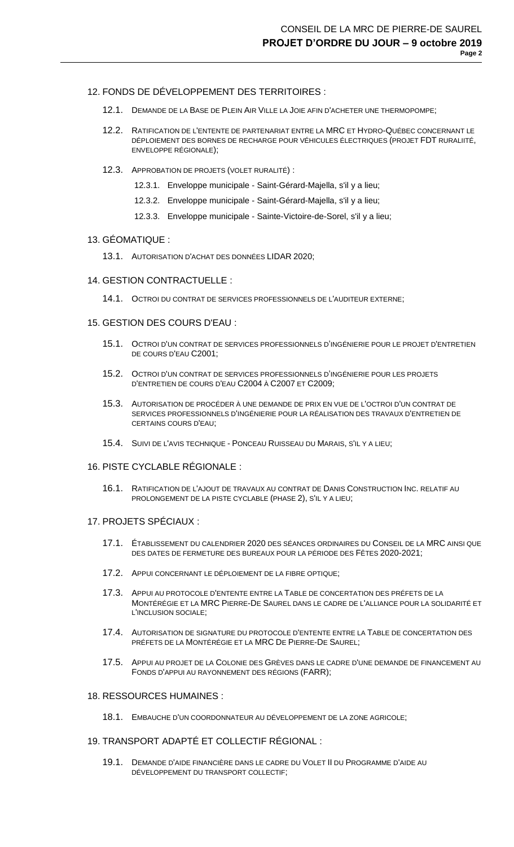## 12. FONDS DE DÉVELOPPEMENT DES TERRITOIRES :

- 12.1. DEMANDE DE LA BASE DE PLEIN AIR VILLE LA JOIE AFIN D'ACHETER UNE THERMOPOMPE;
- 12.2. RATIFICATION DE L'ENTENTE DE PARTENARIAT ENTRE LA MRC ET HYDRO-QUÉBEC CONCERNANT LE DÉPLOIEMENT DES BORNES DE RECHARGE POUR VÉHICULES ÉLECTRIQUES (PROJET FDT RURALIITÉ, ENVELOPPE RÉGIONALE);
- 12.3. APPROBATION DE PROJETS (VOLET RURALITÉ) :
	- 12.3.1. Enveloppe municipale Saint-Gérard-Majella, s'il y a lieu;
	- 12.3.2. Enveloppe municipale Saint-Gérard-Majella, s'il y a lieu;
	- 12.3.3. Enveloppe municipale Sainte-Victoire-de-Sorel, s'il y a lieu;

#### 13. GÉOMATIQUE :

13.1. AUTORISATION D'ACHAT DES DONNÉES LIDAR 2020;

#### 14. GESTION CONTRACTUELLE :

14.1. OCTROI DU CONTRAT DE SERVICES PROFESSIONNELS DE L'AUDITEUR EXTERNE;

## 15. GESTION DES COURS D'EAU :

- 15.1. OCTROI D'UN CONTRAT DE SERVICES PROFESSIONNELS D'INGÉNIERIE POUR LE PROJET D'ENTRETIEN DE COURS D'EAU C2001;
- 15.2. OCTROI D'UN CONTRAT DE SERVICES PROFESSIONNELS D'INGÉNIERIE POUR LES PROJETS D'ENTRETIEN DE COURS D'EAU C2004 À C2007 ET C2009;
- 15.3. AUTORISATION DE PROCÉDER À UNE DEMANDE DE PRIX EN VUE DE L'OCTROI D'UN CONTRAT DE SERVICES PROFESSIONNELS D'INGÉNIERIE POUR LA RÉALISATION DES TRAVAUX D'ENTRETIEN DE CERTAINS COURS D'EAU;
- 15.4. SUIVI DE L'AVIS TECHNIQUE PONCEAU RUISSEAU DU MARAIS, S'IL Y A LIEU;

### 16. PISTE CYCLABLE RÉGIONALE :

16.1. RATIFICATION DE L'AJOUT DE TRAVAUX AU CONTRAT DE DANIS CONSTRUCTION INC. RELATIF AU PROLONGEMENT DE LA PISTE CYCLABLE (PHASE 2), S'IL Y A LIEU;

#### 17. PROJETS SPÉCIAUX :

- 17.1. ÉTABLISSEMENT DU CALENDRIER 2020 DES SÉANCES ORDINAIRES DU CONSEIL DE LA MRC AINSI QUE DES DATES DE FERMETURE DES BUREAUX POUR LA PÉRIODE DES FÊTES 2020-2021;
- 17.2. APPUI CONCERNANT LE DÉPLOIEMENT DE LA FIBRE OPTIQUE;
- 17.3. APPUI AU PROTOCOLE D'ENTENTE ENTRE LA TABLE DE CONCERTATION DES PRÉFETS DE LA MONTÉRÉGIE ET LA MRC PIERRE-DE SAUREL DANS LE CADRE DE L'ALLIANCE POUR LA SOLIDARITÉ ET L'INCLUSION SOCIALE;
- 17.4. AUTORISATION DE SIGNATURE DU PROTOCOLE D'ENTENTE ENTRE LA TABLE DE CONCERTATION DES PRÉFETS DE LA MONTÉRÉGIE ET LA MRC DE PIERRE-DE SAUREL;
- 17.5. APPUI AU PROJET DE LA COLONIE DES GRÈVES DANS LE CADRE D'UNE DEMANDE DE FINANCEMENT AU FONDS D'APPUI AU RAYONNEMENT DES RÉGIONS (FARR);

#### 18. RESSOURCES HUMAINES :

18.1. EMBAUCHE D'UN COORDONNATEUR AU DÉVELOPPEMENT DE LA ZONE AGRICOLE;

## 19. TRANSPORT ADAPTÉ ET COLLECTIF RÉGIONAL :

19.1. DEMANDE D'AIDE FINANCIÈRE DANS LE CADRE DU VOLET II DU PROGRAMME D'AIDE AU DÉVELOPPEMENT DU TRANSPORT COLLECTIF;